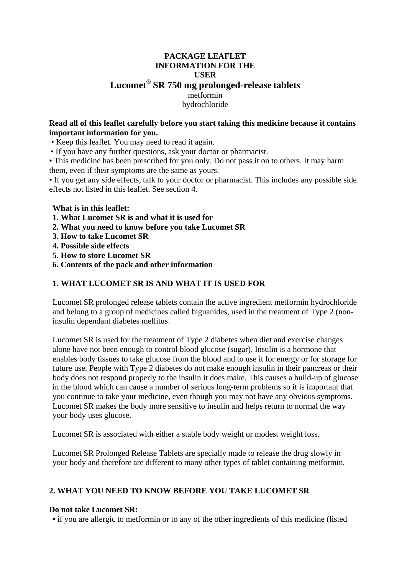# **PACKAGE LEAFLET INFORMATION FOR THE USER Lucomet® SR 750 mg prolonged-release tablets** metformin hydrochloride

### **Read all of this leaflet carefully before you start taking this medicine because it contains important information for you.**

• Keep this leaflet. You may need to read it again.

• If you have any further questions, ask your doctor or pharmacist.

• This medicine has been prescribed for you only. Do not pass it on to others. It may harm them, even if their symptoms are the same as yours.

• If you get any side effects, talk to your doctor or pharmacist. This includes any possible side effects not listed in this leaflet. See section 4.

### **What is in this leaflet:**

- **1. What Lucomet SR is and what it is used for**
- **2. What you need to know before you take Lucomet SR**
- **3. How to take Lucomet SR**
- **4. Possible side effects**
- **5. How to store Lucomet SR**
- **6. Contents of the pack and other information**

## **1. WHAT LUCOMET SR IS AND WHAT IT IS USED FOR**

Lucomet SR prolonged release tablets contain the active ingredient metformin hydrochloride and belong to a group of medicines called biguanides, used in the treatment of Type 2 (noninsulin dependant diabetes mellitus.

Lucomet SR is used for the treatment of Type 2 diabetes when diet and exercise changes alone have not been enough to control blood glucose (sugar). Insulin is a hormone that enables body tissues to take glucose from the blood and to use it for energy or for storage for future use. People with Type 2 diabetes do not make enough insulin in their pancreas or their body does not respond properly to the insulin it does make. This causes a build-up of glucose in the blood which can cause a number of serious long-term problems so it is important that you continue to take your medicine, even though you may not have any obvious symptoms. Lucomet SR makes the body more sensitive to insulin and helps return to normal the way your body uses glucose.

Lucomet SR is associated with either a stable body weight or modest weight loss.

Lucomet SR Prolonged Release Tablets are specially made to release the drug slowly in your body and therefore are different to many other types of tablet containing metformin.

## **2. WHAT YOU NEED TO KNOW BEFORE YOU TAKE LUCOMET SR**

#### **Do not take Lucomet SR:**

• if you are allergic to metformin or to any of the other ingredients of this medicine (listed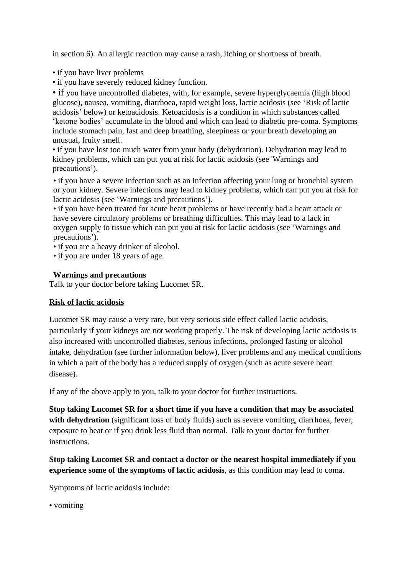in section 6). An allergic reaction may cause a rash, itching or shortness of breath.

- if you have liver problems
- if you have severely reduced kidney function.

• if you have uncontrolled diabetes, with, for example, severe hyperglycaemia (high blood glucose), nausea, vomiting, diarrhoea, rapid weight loss, lactic acidosis (see 'Risk of lactic acidosis' below) or ketoacidosis. Ketoacidosis is a condition in which substances called 'ketone bodies' accumulate in the blood and which can lead to diabetic pre-coma. Symptoms include stomach pain, fast and deep breathing, sleepiness or your breath developing an unusual, fruity smell.

• if you have lost too much water from your body (dehydration). Dehydration may lead to kidney problems, which can put you at risk for lactic acidosis (see 'Warnings and precautions').

• if you have a severe infection such as an infection affecting your lung or bronchial system or your kidney. Severe infections may lead to kidney problems, which can put you at risk for lactic acidosis (see 'Warnings and precautions').

• if you have been treated for acute heart problems or have recently had a heart attack or have severe circulatory problems or breathing difficulties. This may lead to a lack in oxygen supply to tissue which can put you at risk for lactic acidosis (see 'Warnings and precautions').

• if you are a heavy drinker of alcohol.

• if you are under 18 years of age.

### **Warnings and precautions**

Talk to your doctor before taking Lucomet SR.

## **Risk of lactic acidosis**

Lucomet SR may cause a very rare, but very serious side effect called lactic acidosis, particularly if your kidneys are not working properly. The risk of developing lactic acidosis is also increased with uncontrolled diabetes, serious infections, prolonged fasting or alcohol intake, dehydration (see further information below), liver problems and any medical conditions in which a part of the body has a reduced supply of oxygen (such as acute severe heart disease).

If any of the above apply to you, talk to your doctor for further instructions.

**Stop taking Lucomet SR for a short time if you have a condition that may be associated**  with dehydration (significant loss of body fluids) such as severe vomiting, diarrhoea, fever, exposure to heat or if you drink less fluid than normal. Talk to your doctor for further instructions.

# **Stop taking Lucomet SR and contact a doctor or the nearest hospital immediately if you experience some of the symptoms of lactic acidosis**, as this condition may lead to coma.

Symptoms of lactic acidosis include:

• vomiting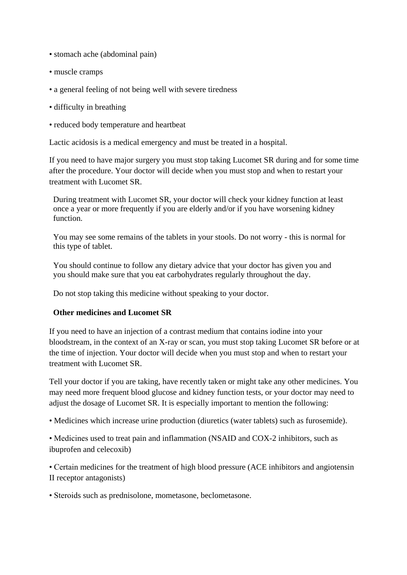- stomach ache (abdominal pain)
- muscle cramps
- a general feeling of not being well with severe tiredness
- difficulty in breathing
- reduced body temperature and heartbeat

Lactic acidosis is a medical emergency and must be treated in a hospital.

If you need to have major surgery you must stop taking Lucomet SR during and for some time after the procedure. Your doctor will decide when you must stop and when to restart your treatment with Lucomet SR.

During treatment with Lucomet SR, your doctor will check your kidney function at least once a year or more frequently if you are elderly and/or if you have worsening kidney function.

You may see some remains of the tablets in your stools. Do not worry - this is normal for this type of tablet.

You should continue to follow any dietary advice that your doctor has given you and you should make sure that you eat carbohydrates regularly throughout the day.

Do not stop taking this medicine without speaking to your doctor.

#### **Other medicines and Lucomet SR**

If you need to have an injection of a contrast medium that contains iodine into your bloodstream, in the context of an X-ray or scan, you must stop taking Lucomet SR before or at the time of injection. Your doctor will decide when you must stop and when to restart your treatment with Lucomet SR.

Tell your doctor if you are taking, have recently taken or might take any other medicines. You may need more frequent blood glucose and kidney function tests, or your doctor may need to adjust the dosage of Lucomet SR. It is especially important to mention the following:

• Medicines which increase urine production (diuretics (water tablets) such as furosemide).

• Medicines used to treat pain and inflammation (NSAID and COX-2 inhibitors, such as ibuprofen and celecoxib)

• Certain medicines for the treatment of high blood pressure (ACE inhibitors and angiotensin II receptor antagonists)

• Steroids such as prednisolone, mometasone, beclometasone.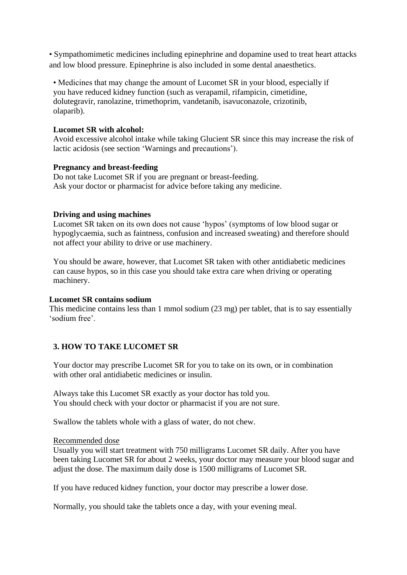• Sympathomimetic medicines including epinephrine and dopamine used to treat heart attacks and low blood pressure. Epinephrine is also included in some dental anaesthetics.

• Medicines that may change the amount of Lucomet SR in your blood, especially if you have reduced kidney function (such as verapamil, rifampicin, cimetidine, dolutegravir, ranolazine, trimethoprim, vandetanib, isavuconazole, crizotinib, olaparib).

#### **Lucomet SR with alcohol:**

Avoid excessive alcohol intake while taking Glucient SR since this may increase the risk of lactic acidosis (see section 'Warnings and precautions').

### **Pregnancy and breast-feeding**

Do not take Lucomet SR if you are pregnant or breast-feeding. Ask your doctor or pharmacist for advice before taking any medicine.

### **Driving and using machines**

Lucomet SR taken on its own does not cause 'hypos' (symptoms of low blood sugar or hypoglycaemia, such as faintness, confusion and increased sweating) and therefore should not affect your ability to drive or use machinery.

You should be aware, however, that Lucomet SR taken with other antidiabetic medicines can cause hypos, so in this case you should take extra care when driving or operating machinery.

#### **Lucomet SR contains sodium**

This medicine contains less than 1 mmol sodium (23 mg) per tablet, that is to say essentially 'sodium free'.

## **3. HOW TO TAKE LUCOMET SR**

Your doctor may prescribe Lucomet SR for you to take on its own, or in combination with other oral antidiabetic medicines or insulin.

Always take this Lucomet SR exactly as your doctor has told you. You should check with your doctor or pharmacist if you are not sure.

Swallow the tablets whole with a glass of water, do not chew.

#### Recommended dose

Usually you will start treatment with 750 milligrams Lucomet SR daily. After you have been taking Lucomet SR for about 2 weeks, your doctor may measure your blood sugar and adjust the dose. The maximum daily dose is 1500 milligrams of Lucomet SR.

If you have reduced kidney function, your doctor may prescribe a lower dose.

Normally, you should take the tablets once a day, with your evening meal.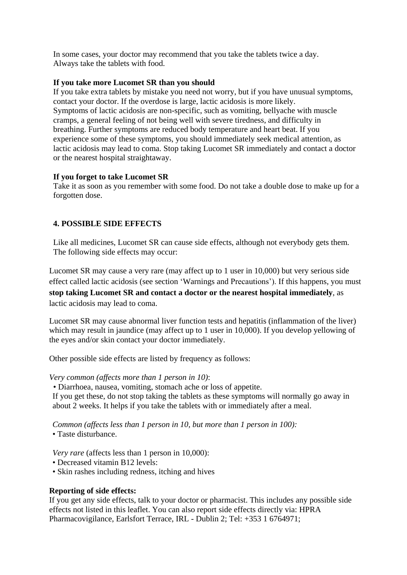In some cases, your doctor may recommend that you take the tablets twice a day. Always take the tablets with food.

### **If you take more Lucomet SR than you should**

If you take extra tablets by mistake you need not worry, but if you have unusual symptoms, contact your doctor. If the overdose is large, lactic acidosis is more likely. Symptoms of lactic acidosis are non-specific, such as vomiting, bellyache with muscle cramps, a general feeling of not being well with severe tiredness, and difficulty in breathing. Further symptoms are reduced body temperature and heart beat. If you experience some of these symptoms, you should immediately seek medical attention, as lactic acidosis may lead to coma. Stop taking Lucomet SR immediately and contact a doctor or the nearest hospital straightaway.

## **If you forget to take Lucomet SR**

Take it as soon as you remember with some food. Do not take a double dose to make up for a forgotten dose.

# **4. POSSIBLE SIDE EFFECTS**

Like all medicines, Lucomet SR can cause side effects, although not everybody gets them. The following side effects may occur:

Lucomet SR may cause a very rare (may affect up to 1 user in 10,000) but very serious side effect called lactic acidosis (see section 'Warnings and Precautions'). If this happens, you must **stop taking Lucomet SR and contact a doctor or the nearest hospital immediately**, as lactic acidosis may lead to coma.

Lucomet SR may cause abnormal liver function tests and hepatitis (inflammation of the liver) which may result in jaundice (may affect up to 1 user in 10,000). If you develop yellowing of the eyes and/or skin contact your doctor immediately.

Other possible side effects are listed by frequency as follows:

#### *Very common (affects more than 1 person in 10)*:

• Diarrhoea, nausea, vomiting, stomach ache or loss of appetite.

If you get these, do not stop taking the tablets as these symptoms will normally go away in about 2 weeks. It helps if you take the tablets with or immediately after a meal.

*Common (affects less than 1 person in 10, but more than 1 person in 100):*

• Taste disturbance.

*Very rare* (affects less than 1 person in 10,000):

- Decreased vitamin B12 levels:
- Skin rashes including redness, itching and hives

## **Reporting of side effects:**

If you get any side effects, talk to your doctor or pharmacist. This includes any possible side effects not listed in this leaflet. You can also report side effects directly via: HPRA Pharmacovigilance, Earlsfort Terrace, IRL - Dublin 2; Tel: +353 1 6764971;